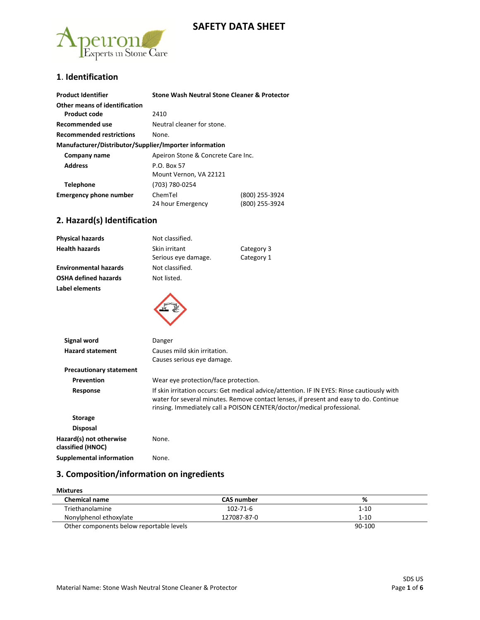## **SAFETY DATA SHEET**



## **1**. **Identification**

| <b>Product Identifier</b>                              | Stone Wash Neutral Stone Cleaner & Protector |                |
|--------------------------------------------------------|----------------------------------------------|----------------|
| Other means of identification                          |                                              |                |
| Product code                                           | 2410                                         |                |
| Recommended use                                        | Neutral cleaner for stone.                   |                |
| <b>Recommended restrictions</b>                        | None.                                        |                |
| Manufacturer/Distributor/Supplier/Importer information |                                              |                |
| Company name                                           | Apeiron Stone & Concrete Care Inc.           |                |
| <b>Address</b><br>P.O. Box 57                          |                                              |                |
|                                                        | Mount Vernon, VA 22121                       |                |
| <b>Telephone</b>                                       | (703) 780-0254                               |                |
| <b>Emergency phone number</b>                          | ChemTel                                      | (800) 255-3924 |
|                                                        | 24 hour Emergency                            | (800) 255-3924 |

## **2. Hazard(s) Identification**

| Not classified.              |                                                                                                                                                                                                                                                               |
|------------------------------|---------------------------------------------------------------------------------------------------------------------------------------------------------------------------------------------------------------------------------------------------------------|
| Skin irritant                | Category 3                                                                                                                                                                                                                                                    |
| Serious eye damage.          | Category 1                                                                                                                                                                                                                                                    |
| Not classified.              |                                                                                                                                                                                                                                                               |
| Not listed.                  |                                                                                                                                                                                                                                                               |
|                              |                                                                                                                                                                                                                                                               |
| Danger                       |                                                                                                                                                                                                                                                               |
| Causes mild skin irritation. |                                                                                                                                                                                                                                                               |
|                              |                                                                                                                                                                                                                                                               |
|                              |                                                                                                                                                                                                                                                               |
|                              |                                                                                                                                                                                                                                                               |
|                              | If skin irritation occurs: Get medical advice/attention. IF IN EYES: Rinse cautiously with<br>water for several minutes. Remove contact lenses, if present and easy to do. Continue<br>rinsing. Immediately call a POISON CENTER/doctor/medical professional. |
|                              | Causes serious eye damage.<br>Wear eye protection/face protection.                                                                                                                                                                                            |

| <b>Storage</b>                               |       |
|----------------------------------------------|-------|
| <b>Disposal</b>                              |       |
| Hazard(s) not otherwise<br>classified (HNOC) | None. |
| <b>Supplemental information</b>              | None. |

## **3. Composition/information on ingredients**

| <b>Mixtures</b>                          |                   |          |
|------------------------------------------|-------------------|----------|
| <b>Chemical name</b>                     | <b>CAS number</b> | %        |
| Triethanolamine                          | 102-71-6          | $1 - 10$ |
| Nonylphenol ethoxylate                   | 127087-87-0       | $1 - 10$ |
| Other components below reportable levels |                   | 90-100   |

Material Name: Stone Wash Neutral Stone Cleaner & Protector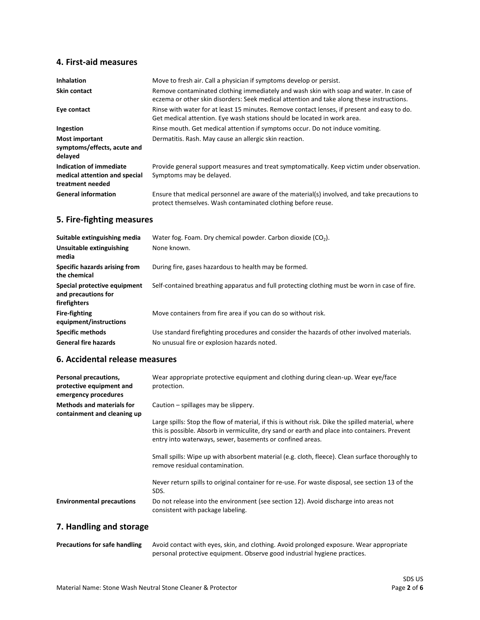## **4. First-aid measures**

| <b>Inhalation</b>                                                            | Move to fresh air. Call a physician if symptoms develop or persist.                                                                                                                 |
|------------------------------------------------------------------------------|-------------------------------------------------------------------------------------------------------------------------------------------------------------------------------------|
| <b>Skin contact</b>                                                          | Remove contaminated clothing immediately and wash skin with soap and water. In case of<br>eczema or other skin disorders: Seek medical attention and take along these instructions. |
| Eye contact                                                                  | Rinse with water for at least 15 minutes. Remove contact lenses, if present and easy to do.<br>Get medical attention. Eye wash stations should be located in work area.             |
| Ingestion                                                                    | Rinse mouth. Get medical attention if symptoms occur. Do not induce vomiting.                                                                                                       |
| <b>Most important</b><br>symptoms/effects, acute and<br>delayed              | Dermatitis. Rash. May cause an allergic skin reaction.                                                                                                                              |
| Indication of immediate<br>medical attention and special<br>treatment needed | Provide general support measures and treat symptomatically. Keep victim under observation.<br>Symptoms may be delayed.                                                              |
| <b>General information</b>                                                   | Ensure that medical personnel are aware of the material(s) involved, and take precautions to<br>protect themselves. Wash contaminated clothing before reuse.                        |

## **5. Fire-fighting measures**

| Suitable extinguishing media                                        | Water fog. Foam. Dry chemical powder. Carbon dioxide $(CO2)$ .                                |
|---------------------------------------------------------------------|-----------------------------------------------------------------------------------------------|
| Unsuitable extinguishing<br>media                                   | None known.                                                                                   |
| Specific hazards arising from<br>the chemical                       | During fire, gases hazardous to health may be formed.                                         |
| Special protective equipment<br>and precautions for<br>firefighters | Self-contained breathing apparatus and full protecting clothing must be worn in case of fire. |
| <b>Fire-fighting</b><br>equipment/instructions                      | Move containers from fire area if you can do so without risk.                                 |
| <b>Specific methods</b>                                             | Use standard firefighting procedures and consider the hazards of other involved materials.    |
| <b>General fire hazards</b>                                         | No unusual fire or explosion hazards noted.                                                   |

## **6. Accidental release measures**

| Personal precautions,<br>protective equipment and<br>emergency procedures | Wear appropriate protective equipment and clothing during clean-up. Wear eye/face<br>protection.                                                                                                                                                                                                         |
|---------------------------------------------------------------------------|----------------------------------------------------------------------------------------------------------------------------------------------------------------------------------------------------------------------------------------------------------------------------------------------------------|
| <b>Methods and materials for</b><br>containment and cleaning up           | Caution – spillages may be slippery.<br>Large spills: Stop the flow of material, if this is without risk. Dike the spilled material, where<br>this is possible. Absorb in vermiculite, dry sand or earth and place into containers. Prevent<br>entry into waterways, sewer, basements or confined areas. |
|                                                                           | Small spills: Wipe up with absorbent material (e.g. cloth, fleece). Clean surface thoroughly to<br>remove residual contamination.                                                                                                                                                                        |
|                                                                           | Never return spills to original container for re-use. For waste disposal, see section 13 of the<br>SDS.                                                                                                                                                                                                  |
| <b>Environmental precautions</b>                                          | Do not release into the environment (see section 12). Avoid discharge into areas not<br>consistent with package labeling.                                                                                                                                                                                |

# **7. Handling and storage**

| <b>Precautions for safe handling</b> | Avoid contact with eyes, skin, and clothing. Avoid prolonged exposure. Wear appropriate |
|--------------------------------------|-----------------------------------------------------------------------------------------|
|                                      | personal protective equipment. Observe good industrial hygiene practices.               |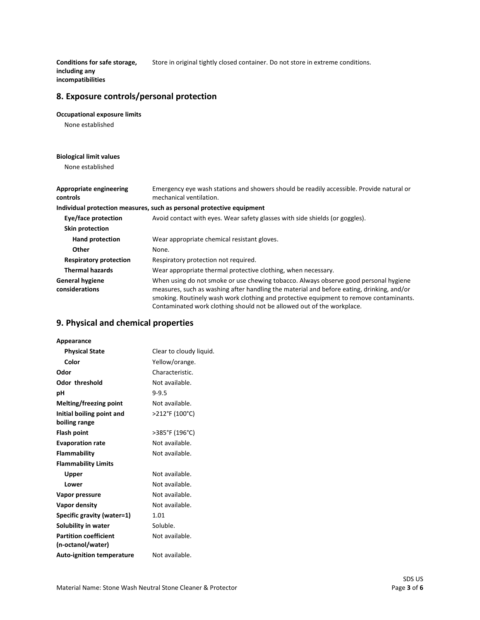**Conditions for safe storage,**  Store in original tightly closed container. Do not store in extreme conditions.

**including any incompatibilities**

## **8. Exposure controls/personal protection**

#### **Occupational exposure limits**

None established

#### **Biological limit values**

None established

| Appropriate engineering<br>controls      | Emergency eye wash stations and showers should be readily accessible. Provide natural or<br>mechanical ventilation.                                                                                                                                                                                                                                   |
|------------------------------------------|-------------------------------------------------------------------------------------------------------------------------------------------------------------------------------------------------------------------------------------------------------------------------------------------------------------------------------------------------------|
|                                          | Individual protection measures, such as personal protective equipment                                                                                                                                                                                                                                                                                 |
| Eye/face protection                      | Avoid contact with eyes. Wear safety glasses with side shields (or goggles).                                                                                                                                                                                                                                                                          |
| <b>Skin protection</b>                   |                                                                                                                                                                                                                                                                                                                                                       |
| Hand protection                          | Wear appropriate chemical resistant gloves.                                                                                                                                                                                                                                                                                                           |
| Other                                    | None.                                                                                                                                                                                                                                                                                                                                                 |
| <b>Respiratory protection</b>            | Respiratory protection not required.                                                                                                                                                                                                                                                                                                                  |
| <b>Thermal hazards</b>                   | Wear appropriate thermal protective clothing, when necessary.                                                                                                                                                                                                                                                                                         |
| <b>General hygiene</b><br>considerations | When using do not smoke or use chewing tobacco. Always observe good personal hygiene<br>measures, such as washing after handling the material and before eating, drinking, and/or<br>smoking. Routinely wash work clothing and protective equipment to remove contaminants.<br>Contaminated work clothing should not be allowed out of the workplace. |

### **9. Physical and chemical properties**

| Appearance                       |                         |
|----------------------------------|-------------------------|
| <b>Physical State</b>            | Clear to cloudy liquid. |
| Color                            | Yellow/orange.          |
| Odor                             | Characteristic.         |
| <b>Odor threshold</b>            | Not available.          |
| рH                               | $9 - 9.5$               |
| Melting/freezing point           | Not available.          |
| Initial boiling point and        | >212°F (100°C)          |
| boiling range                    |                         |
| <b>Flash point</b>               | >385°F (196°C)          |
| <b>Evaporation rate</b>          | Not available.          |
| Flammability                     | Not available.          |
| <b>Flammability Limits</b>       |                         |
| Upper                            | Not available.          |
| Lower                            | Not available.          |
| Vapor pressure                   | Not available.          |
| Vapor density                    | Not available.          |
| Specific gravity (water=1)       | 1.01                    |
| Solubility in water              | Soluble.                |
| <b>Partition coefficient</b>     | Not available.          |
| (n-octanol/water)                |                         |
| <b>Auto-ignition temperature</b> | Not available.          |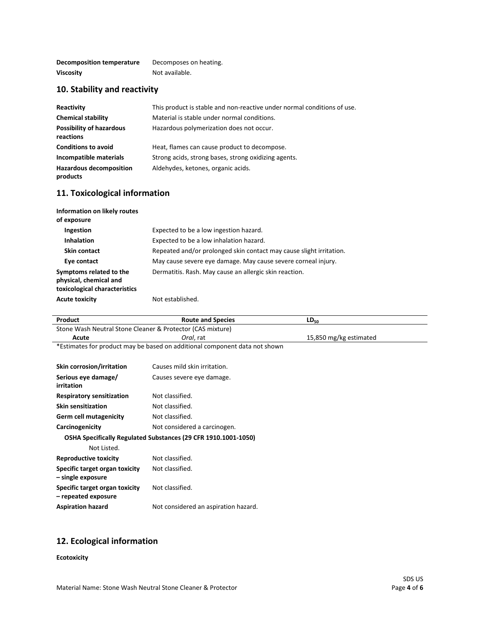| Decomposition temperature | Decomposes on heating. |
|---------------------------|------------------------|
| <b>Viscosity</b>          | Not available.         |

# **10. Stability and reactivity**

| Reactivity                                   | This product is stable and non-reactive under normal conditions of use. |
|----------------------------------------------|-------------------------------------------------------------------------|
| <b>Chemical stability</b>                    | Material is stable under normal conditions.                             |
| <b>Possibility of hazardous</b><br>reactions | Hazardous polymerization does not occur.                                |
| <b>Conditions to avoid</b>                   | Heat, flames can cause product to decompose.                            |
| Incompatible materials                       | Strong acids, strong bases, strong oxidizing agents.                    |
| <b>Hazardous decomposition</b><br>products   | Aldehydes, ketones, organic acids.                                      |

## **11. Toxicological information**

| Information on likely routes<br>of exposure                                        |                                                                     |
|------------------------------------------------------------------------------------|---------------------------------------------------------------------|
| <b>Ingestion</b>                                                                   | Expected to be a low ingestion hazard.                              |
| <b>Inhalation</b>                                                                  | Expected to be a low inhalation hazard.                             |
| Skin contact                                                                       | Repeated and/or prolonged skin contact may cause slight irritation. |
| Eye contact                                                                        | May cause severe eye damage. May cause severe corneal injury.       |
| Symptoms related to the<br>physical, chemical and<br>toxicological characteristics | Dermatitis. Rash. May cause an allergic skin reaction.              |
| <b>Acute toxicity</b>                                                              | Not established.                                                    |

| Product                                                                    | <b>Route and Species</b>             | $LD_{50}$              |
|----------------------------------------------------------------------------|--------------------------------------|------------------------|
| Stone Wash Neutral Stone Cleaner & Protector (CAS mixture)                 |                                      |                        |
| Acute                                                                      | Oral, rat                            | 15,850 mg/kg estimated |
| *Estimates for product may be based on additional component data not shown |                                      |                        |
|                                                                            |                                      |                        |
| <b>Skin corrosion/irritation</b>                                           | Causes mild skin irritation.         |                        |
| Serious eye damage/                                                        | Causes severe eye damage.            |                        |
| irritation                                                                 |                                      |                        |
| <b>Respiratory sensitization</b>                                           | Not classified.                      |                        |
| <b>Skin sensitization</b>                                                  | Not classified.                      |                        |
| <b>Germ cell mutagenicity</b>                                              | Not classified.                      |                        |
| Carcinogenicity                                                            | Not considered a carcinogen.         |                        |
| OSHA Specifically Regulated Substances (29 CFR 1910.1001-1050)             |                                      |                        |
| Not Listed.                                                                |                                      |                        |
| <b>Reproductive toxicity</b>                                               | Not classified.                      |                        |
| Specific target organ toxicity                                             | Not classified.                      |                        |
| - single exposure                                                          |                                      |                        |
| Specific target organ toxicity                                             | Not classified.                      |                        |
| - repeated exposure                                                        |                                      |                        |
| <b>Aspiration hazard</b>                                                   | Not considered an aspiration hazard. |                        |
|                                                                            |                                      |                        |
|                                                                            |                                      |                        |

# **12. Ecological information**

#### **Ecotoxicity**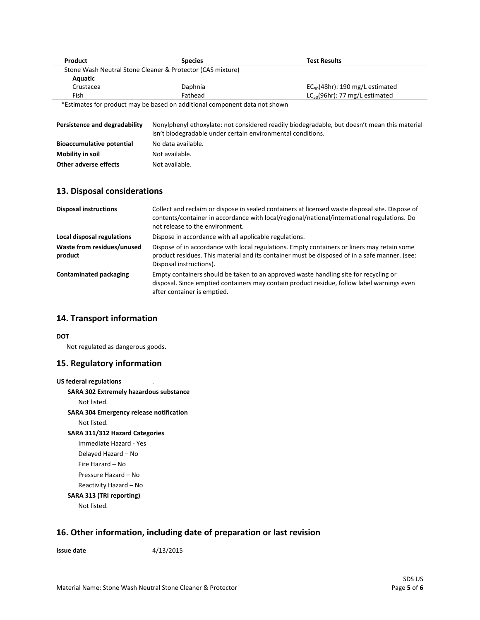| Product                               | <b>Species</b>                                             | <b>Test Results</b>                  |
|---------------------------------------|------------------------------------------------------------|--------------------------------------|
|                                       | Stone Wash Neutral Stone Cleaner & Protector (CAS mixture) |                                      |
| Aquatic                               |                                                            |                                      |
| Crustacea                             | Daphnia                                                    | $EC_{50}(48hr)$ : 190 mg/L estimated |
| Fish                                  | Fathead                                                    | $LC_{50}(96hr)$ : 77 mg/L estimated  |
| $\frac{1}{2}$<br>$\sim$ $\sim$ $\sim$ | $\cdots$<br>.                                              |                                      |

\*Estimates for product may be based on additional component data not shown

| Persistence and degradability    | Nonylphenyl ethoxylate: not considered readily biodegradable, but doesn't mean this material<br>isn't biodegradable under certain environmental conditions. |
|----------------------------------|-------------------------------------------------------------------------------------------------------------------------------------------------------------|
| <b>Bioaccumulative potential</b> | No data available.                                                                                                                                          |
| Mobility in soil                 | Not available.                                                                                                                                              |
| Other adverse effects            | Not available.                                                                                                                                              |

### **13. Disposal considerations**

| <b>Disposal instructions</b>          | Collect and reclaim or dispose in sealed containers at licensed waste disposal site. Dispose of<br>contents/container in accordance with local/regional/national/international regulations. Do<br>not release to the environment. |
|---------------------------------------|-----------------------------------------------------------------------------------------------------------------------------------------------------------------------------------------------------------------------------------|
| Local disposal regulations            | Dispose in accordance with all applicable regulations.                                                                                                                                                                            |
| Waste from residues/unused<br>product | Dispose of in accordance with local regulations. Empty containers or liners may retain some<br>product residues. This material and its container must be disposed of in a safe manner. (see:<br>Disposal instructions).           |
| <b>Contaminated packaging</b>         | Empty containers should be taken to an approved waste handling site for recycling or<br>disposal. Since emptied containers may contain product residue, follow label warnings even<br>after container is emptied.                 |

### **14. Transport information**

**DOT**

Not regulated as dangerous goods.

### **15. Regulatory information**

```
US federal regulations
SARA 302 Extremely hazardous substance
    Not listed.
SARA 304 Emergency release notification
    Not listed.
SARA 311/312 Hazard Categories
    Immediate Hazard - Yes
    Delayed Hazard – No
    Fire Hazard – No
    Pressure Hazard – No
    Reactivity Hazard – No 
SARA 313 (TRI reporting)
    Not listed.
```
## **16. Other information, including date of preparation or last revision**

**Issue date** 4/13/2015